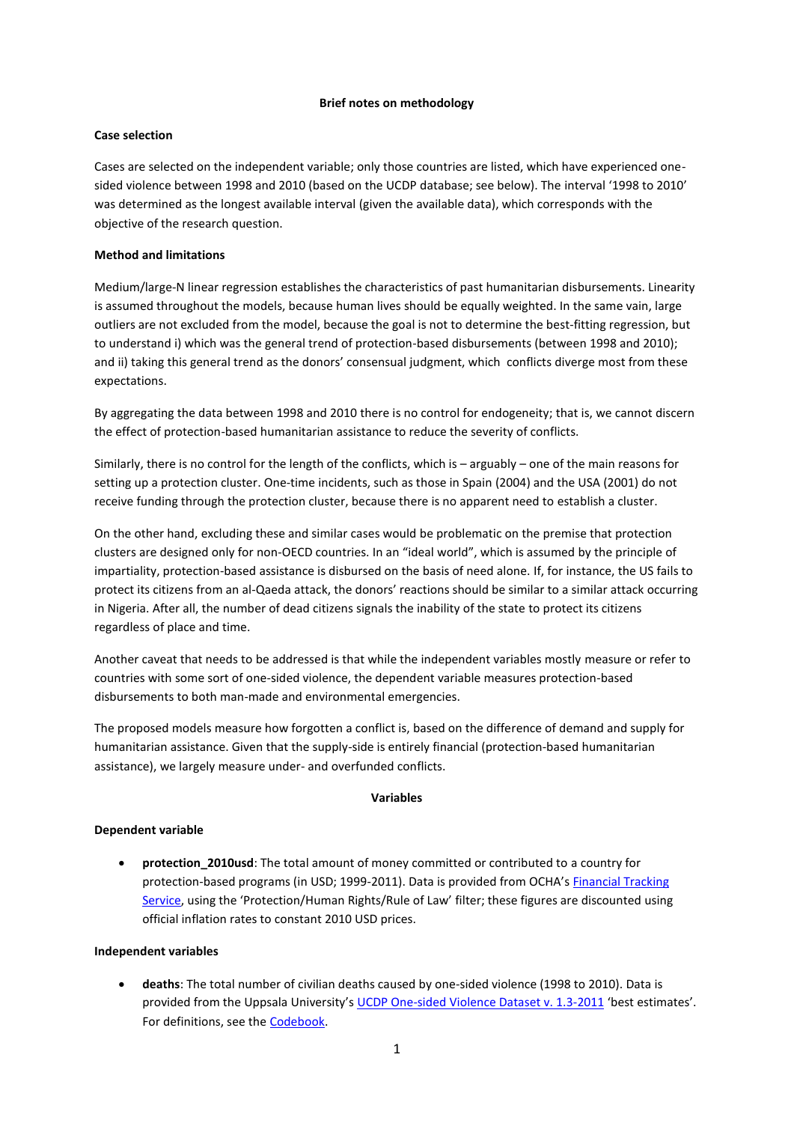#### **Brief notes on methodology**

## **Case selection**

Cases are selected on the independent variable; only those countries are listed, which have experienced onesided violence between 1998 and 2010 (based on the UCDP database; see below). The interval '1998 to 2010' was determined as the longest available interval (given the available data), which corresponds with the objective of the research question.

# **Method and limitations**

Medium/large-N linear regression establishes the characteristics of past humanitarian disbursements. Linearity is assumed throughout the models, because human lives should be equally weighted. In the same vain, large outliers are not excluded from the model, because the goal is not to determine the best-fitting regression, but to understand i) which was the general trend of protection-based disbursements (between 1998 and 2010); and ii) taking this general trend as the donors' consensual judgment, which conflicts diverge most from these expectations.

By aggregating the data between 1998 and 2010 there is no control for endogeneity; that is, we cannot discern the effect of protection-based humanitarian assistance to reduce the severity of conflicts.

Similarly, there is no control for the length of the conflicts, which is – arguably – one of the main reasons for setting up a protection cluster. One-time incidents, such as those in Spain (2004) and the USA (2001) do not receive funding through the protection cluster, because there is no apparent need to establish a cluster.

On the other hand, excluding these and similar cases would be problematic on the premise that protection clusters are designed only for non-OECD countries. In an "ideal world", which is assumed by the principle of impartiality, protection-based assistance is disbursed on the basis of need alone. If, for instance, the US fails to protect its citizens from an al-Qaeda attack, the donors' reactions should be similar to a similar attack occurring in Nigeria. After all, the number of dead citizens signals the inability of the state to protect its citizens regardless of place and time.

Another caveat that needs to be addressed is that while the independent variables mostly measure or refer to countries with some sort of one-sided violence, the dependent variable measures protection-based disbursements to both man-made and environmental emergencies.

The proposed models measure how forgotten a conflict is, based on the difference of demand and supply for humanitarian assistance. Given that the supply-side is entirely financial (protection-based humanitarian assistance), we largely measure under- and overfunded conflicts.

## **Variables**

## **Dependent variable**

**•** protection 2010usd: The total amount of money committed or contributed to a country for protection-based programs (in USD; 1999-2011). Data is provided from OCHA's [Financial Tracking](http://fts.unocha.org/)  [Service](http://fts.unocha.org/), using the 'Protection/Human Rights/Rule of Law' filter; these figures are discounted using official inflation rates to constant 2010 USD prices.

## **Independent variables**

 **deaths**: The total number of civilian deaths caused by one-sided violence (1998 to 2010). Data is provided from the Uppsala University's [UCDP One-sided Violence Dataset v. 1.3-2011](http://www.pcr.uu.se/research/ucdp/datasets/ucdp_one-sided_violence_dataset/) 'best estimates'. For definitions, see the [Codebook.](http://www.pcr.uu.se/digitalAssets/55/55080_UCDP_One-sided_violence_Dataset_Codebook_v1.3.pdf)